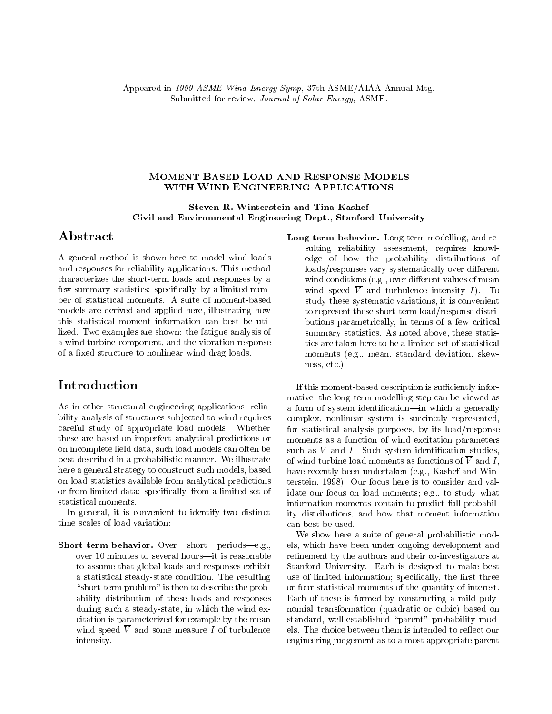#### **MOMENT-BASED LOAD AND RESPONSE MODELS** WITH WIND ENGINEERING APPLICATIONS

Steven R. Winterstein and Tina Kashef Civil and Environmental Engineering Dept., Stanford University

### Abstract

A general method is shown here to model wind loads and responses for reliability applications. This method characterizes the short-term loads and responses by a few summary statistics: specifically, by a limited number of statistical moments. A suite of moment-based models are derived and applied here, illustrating how this statistical moment information can best be utilized. Two examples are shown: the fatigue analysis of a wind turbine component, and the vibration response of a fixed structure to nonlinear wind drag loads.

As in other structural engineering applications, reliability analysis of structures subjected to wind requires careful study of appropriate load models. Whether these are based on imperfect analytical predictions or on incomplete field data, such load models can often be best described in a probabilistic manner. We illustrate here a general strategy to construct such models, based on load statistics available from analytical predictions or from limited data: specically, from a limited set of statistical moments.

In general, it is convenient to identify two distinct time scales of load variation:

Short term behavior. Over short periods-e.g., over 10 minutes to several hours-it is reasonable to assume that global loads and responses exhibit a statistical steady-state condition. The resulting "short-term problem" is then to describe the probability distribution of these loads and responses during such a steady-state, in which the wind excitation is parameterized for example by the mean wind speed  $\overline{V}$  and some measure I of turbulence intensity.

Long term behavior. Long-term modelling, and resulting reliability assessment, requires knowledge of how the probability distributions of loads/responses vary systematically over different wind conditions (e.g., over different values of mean wind speed  $\overline{V}$  and turbulence intensity I). To study these systematic variations, it is convenient to represent these short-term load/response distributions parametrically, in terms of a few critical summary statistics. As noted above, these statistics are taken here to be a limited set of statistical moments (e.g., mean, standard deviation, skewness, etc.).

If this moment-based description is sufficiently informative, the long-term modelling step can be viewed as a form of system identification—in which a generally complex, nonlinear system is succinctly represented, for statistical analysis purposes, by its load/response moments as a function of wind excitation parameters such as  $\overline{V}$  and I. Such system identification studies, of wind turbine load moments as functions of  $\overline{V}$  and I, have recently been undertaken (e.g., Kashef and Winterstein, 1998). Our focus here is to consider and validate our focus on load moments; e.g., to study what information moments contain to predict full probability distributions, and how that moment information can best be used.

We show here a suite of general probabilistic models, which have been under ongoing development and refinement by the authors and their co-investigators at Stanford University. Each is designed to make best use of limited information; specifically, the first three or four statistical moments of the quantity of interest. Each of these is formed by constructing a mild polynomial transformation (quadratic or cubic) based on standard, well-established \parent" probability models. The choice between them is intended to reflect our engineering judgement as to a most appropriate parent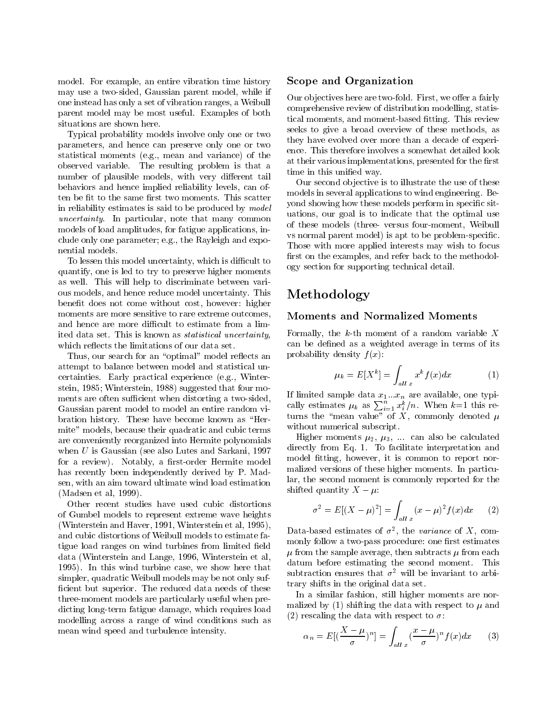model. For example, an entire vibration time history may use a two-sided, Gaussian parent model, while if one instead has only a set of vibration ranges, a Weibull parent model may be most useful. Examples of both situations are shown here.

Typical probability models involve only one or two parameters, and hence can preserve only one or two statistical moments (e.g., mean and variance) of the observed variable. The resulting problem is that a number of plausible models, with very different tail behaviors and hence implied reliability levels, can often be fit to the same first two moments. This scatter in reliability estimates is said to be produced by model uncertainty. In particular, note that many common models of load amplitudes, for fatigue applications, include only one parameter; e.g., the Rayleigh and exponential models.

To lessen this model uncertainty, which is difficult to quantify, one is led to try to preserve higher moments as well. This will help to discriminate between various models, and hence reduce model uncertainty. This benefit does not come without cost, however: higher moments are more sensitive to rare extreme outcomes, and hence are more difficult to estimate from a limited data set. This is known as statistical uncertainty, which reflects the limitations of our data set.

Thus, our search for an "optimal" model reflects an attempt to balance between model and statistical uncertainties. Early practical experience (e.g., Winterstein, 1985; Winterstein, 1988) suggested that four moments are often sufficient when distorting a two-sided, Gaussian parent model to model an entire random vibration history. These have become known as "Hermite" models, because their quadratic and cubic terms are conveniently reorganized into Hermite polynomials when U is Gaussian (see also Lutes and Sarkani, 1997 for a review). Notably, a first-order Hermite model has recently been independently derived by P. Madsen, with an aim toward ultimate wind load estimation (Madsen et al, 1999).

Other recent studies have used cubic distortions of Gumbel models to represent extreme wave heights (Winterstein and Haver, 1991, Winterstein et al, 1995), and cubic distortions of Weibull models to estimate fatigue load ranges on wind turbines from limited field data (Winterstein and Lange, 1996, Winterstein et al, 1995). In this wind turbine case, we show here that simpler, quadratic Weibull models may be not only suf ficient but superior. The reduced data needs of these three-moment models are particularly useful when predicting long-term fatigue damage, which requires load modelling across a range of wind conditions such as mean wind speed and turbulence intensity.

#### Scope and Organization

Our objectives here are two-fold. First, we offer a fairly comprehensive review of distribution modelling, statistical moments, and moment-based fitting. This review seeks to give a broad overview of these methods, as they have evolved over more than a decade of experience. This therefore involves a somewhat detailed look at their various implementations, presented for the first time in this unified way.

Our second ob jective is to illustrate the use of these models in several applications to wind engineering. Beyond showing how these models perform in specific situations, our goal is to indicate that the optimal use of these models (three- versus four-moment, Weibull vs normal parent model) is apt to be problem-specic. Those with more applied interests may wish to focus first on the examples, and refer back to the methodology section for supporting technical detail.

# Methodology

#### Moments and Normalized Moments

Formally, the  $k$ -th moment of a random variable X can be defined as a weighted average in terms of its probability density  $f(x)$ :

$$
\mu_k = E[X^k] = \int_{all \ x} x^k f(x) dx \tag{1}
$$

If limited sample data  $x_1...x_n$  are available, one typically estimates  $\mu_k$  as  $\sum_{i=1}^n x_i^k/n$ . When  $k=1$  this returns the "mean value" of X, commonly denoted  $\mu$ without numerical subscript.

Higher moments  $\mu_2$ ,  $\mu_3$ , ... can also be calculated directly from Eq. 1. To facilitate interpretation and model fitting, however, it is common to report normalized versions of these higher moments. In particular, the second moment is commonly reported for the shifted quantity  $X - \mu$ :

$$
\sigma^{2} = E[(X - \mu)^{2}] = \int_{all \ x} (x - \mu)^{2} f(x) dx \qquad (2)
$$

Data-based estimates of  $\sigma^-$ , the variance of  $\Lambda$ , commonly follow a two-pass procedure: one first estimates  $\mu$  from the sample average, then subtracts  $\mu$  from each datum before estimating the second moment. This subtraction ensures that  $\sigma^2$  will be invariant to arbitrary shifts in the original data set.

In a similar fashion, still higher moments are normalized by (1) shifting the data with respect to  $\mu$  and (2) rescaling the data with respect to  $\sigma$ :

$$
\alpha_n = E[(\frac{X-\mu}{\sigma})^n] = \int_{all \, x} (\frac{x-\mu}{\sigma})^n f(x) dx \qquad (3)
$$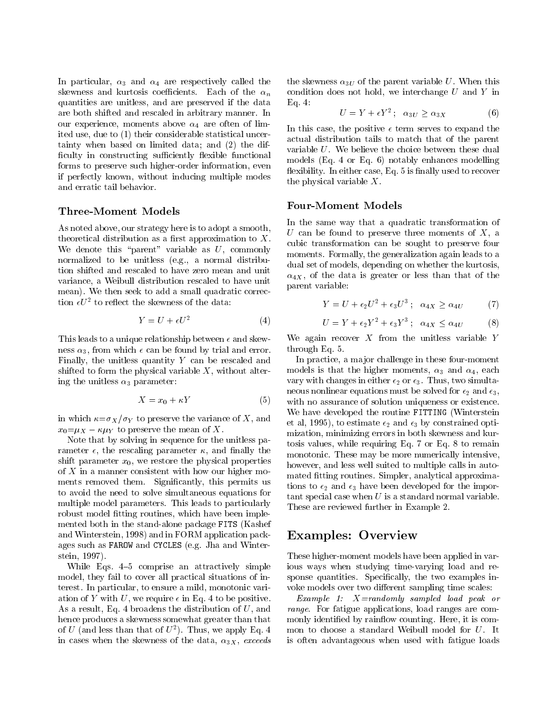In particular,  $\alpha_3$  and  $\alpha_4$  are respectively called the skewness and kurtosis coefficients. Each of the  $\alpha_n$ quantities are unitless, and are preserved if the data are both shifted and rescaled in arbitrary manner. In our experience, moments above  $\alpha_4$  are often of limited use, due to (1) their considerable statistical uncertainty when based on limited data; and (2) the dif ficulty in constructing sufficiently flexible functional forms to preserve such higher-order information, even if perfectly known, without inducing multiple modes and erratic tail behavior.

#### Three-Moment Models

As noted above, our strategy here is to adopt a smooth, theoretical distribution as a first approximation to  $X$ . We denote this "parent" variable as  $U$ , commonly normalized to be unitless (e.g., a normal distribution shifted and rescaled to have zero mean and unit variance, a Weibull distribution rescaled to have unit mean). We then seek to add a small quadratic correction  $\epsilon \nu$  – to renect the skewness of the data:

$$
Y = U + \epsilon U^2 \tag{4}
$$

This leads to a unique relationship between  $\epsilon$  and skewness  $\alpha_3$ , from which  $\epsilon$  can be found by trial and error. Finally, the unitless quantity  $Y$  can be rescaled and shifted to form the physical variable  $X$ , without altering the unitless  $\alpha_3$  parameter:

$$
X = x_0 + \kappa Y \tag{5}
$$

in which  $\kappa = \sigma_X / \sigma_Y$  to preserve the variance of X, and  $x_0=\mu_X - \kappa \mu_Y$  to preserve the mean of X.

Note that by solving in sequence for the unitless parameter  $\epsilon$ , the rescaling parameter  $\kappa$ , and finally the shift parameter  $x_0$ , we restore the physical properties of  $X$  in a manner consistent with how our higher moments removed them. Significantly, this permits us to avoid the need to solve simultaneous equations for multiple model parameters. This leads to particularly robust model fitting routines, which have been implemented both in the stand-alone package FITS (Kashef and Winterstein, 1998) and in FORM application packages such as FAROW and CYCLES (e.g. Jha and Winterstein, 1997).

While Eqs.  $4-5$  comprise an attractively simple model, they fail to cover all practical situations of interest. In particular, to ensure a mild, monotonic variation of Y with U, we require  $\epsilon$  in Eq. 4 to be positive. As a result, Eq. 4 broadens the distribution of U, and hence produces a skewness somewhat greater than that of U (and less than that of  $U^-$ ). Thus, we apply Eq. 4 mon in cases when the skewness of the data,  $\alpha_{3X}$ , exceeds

the skewness  $\alpha_{3U}$  of the parent variable U. When this condition does not hold, we interchange  $U$  and  $Y$  in Eq. 4:

$$
U = Y + \epsilon Y^2; \quad \alpha_{3U} \ge \alpha_{3X} \tag{6}
$$

In this case, the positive  $\epsilon$  term serves to expand the actual distribution tails to match that of the parent variable U. We believe the choice between these dual models (Eq. 4 or Eq. 6) notably enhances modelling flexibility. In either case, Eq. 5 is finally used to recover the physical variable  $X$ .

#### Four-Moment Models

In the same way that a quadratic transformation of U can be found to preserve three moments of  $X$ , a cubic transformation can be sought to preserve four moments. Formally, the generalization again leads to a dual set of models, depending on whether the kurtosis,  $\alpha_{4X}$ , of the data is greater or less than that of the parent variable:

$$
Y = U + \epsilon_2 U^2 + \epsilon_3 U^3; \quad \alpha_{4X} \ge \alpha_{4U} \tag{7}
$$

$$
U = Y + \epsilon_2 Y^2 + \epsilon_3 Y^3; \quad \alpha_{4X} \le \alpha_{4U} \tag{8}
$$

We again recover  $X$  from the unitless variable  $Y$ through Eq. 5.

In practice, a major challenge in these four-moment models is that the higher moments,  $\alpha_3$  and  $\alpha_4$ , each vary with changes in either  $\epsilon_2$  or  $\epsilon_3$ . Thus, two simultaneous nonlinear equations must be solved for  $\epsilon_2$  and  $\epsilon_3$ , with no assurance of solution uniqueness or existence. We have developed the routine FITTING (Winterstein et al, 1995), to estimate  $\epsilon_2$  and  $\epsilon_3$  by constrained optimization, minimizing errors in both skewness and kurtosis values, while requiring Eq. 7 or Eq. 8 to remain monotonic. These may be more numerically intensive, however, and less well suited to multiple calls in automated fitting routines. Simpler, analytical approximations to  $\epsilon_2$  and  $\epsilon_3$  have been developed for the important special case when  $U$  is a standard normal variable. These are reviewed further in Example 2.

## Examples: Overview

These higher-moment models have been applied in various ways when studying time-varying load and response quantities. Specifically, the two examples invoke models over two different sampling time scales:

Example 1: X=randomly sampled load peak or range. For fatigue applications, load ranges are commonly identified by rainflow counting. Here, it is common to choose a standard Weibull model for U. It is often advantageous when used with fatigue loads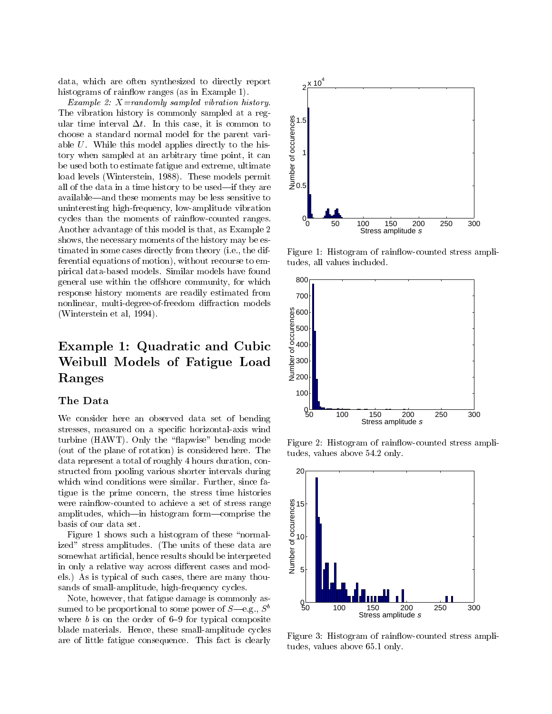data, which are often synthesized to directly report histograms of rainflow ranges (as in Example 1).

Example 2:  $X =$ randomly sampled vibration history. The vibration history is commonly sampled at a regular time interval  $\Delta t$ . In this case, it is common to choose a standard normal model for the parent variable U. While this model applies directly to the history when sampled at an arbitrary time point, it can be used both to estimate fatigue and extreme, ultimate load levels (Winterstein, 1988). These models permit all of the data in a time history to be used—if they are available—and these moments may be less sensitive to uninteresting high-frequency, low-amplitude vibration cycles than the moments of rainflow-counted ranges. Another advantage of this model is that, as Example 2 shows, the necessary moments of the history may be estimated in some cases directly from theory (i.e., the differential equations of motion), without recourse to empirical data-based models. Similar models have found general use within the offshore community, for which response history moments are readily estimated from nonlinear, multi-degree-of-freedom diffraction models (Winterstein et al, 1994).

# Example 1: Quadratic and Cubic  $\frac{8}{5}$ Weibull Models of Fatigue Load Ranges

#### The Data

We consider here an observed data set of bending stresses, measured on a specic horizontal-axis wind turbine  $(HAWT)$ . Only the "flapwise" bending mode (out of the plane of rotation) is considered here. The data represent a total of roughly 4 hours duration, constructed from pooling various shorter intervals during which wind conditions were similar. Further, since fatigue is the prime concern, the stress time histories were rain
ow-counted to achieve a set of stress range amplitudes, which—in histogram form—comprise the basis of our data set.

Figure 1 shows such a histogram of these "normalized" stress amplitudes. (The units of these data are somewhat articial, hence results should be interpreted in only a relative way across different cases and models.) As is typical of such cases, there are many thousands of small-amplitude, high-frequency cycles.

Note, however, that fatigue damage is commonly assumed to be proportional to some power of  $S$ —e.g.,  $S^b$ where  $b$  is on the order of 6-9 for typical composite blade materials. Hence, these small-amplitude cycles are of little fatigue consequence. This fact is clearly



Figure 1: Histogram of rainflow-counted stress amplitudes, all values included.



Figure 2: Histogram of rainflow-counted stress amplitudes, values above 54.2 only.



Figure 3: Histogram of rainflow-counted stress amplitudes, values above 65.1 only.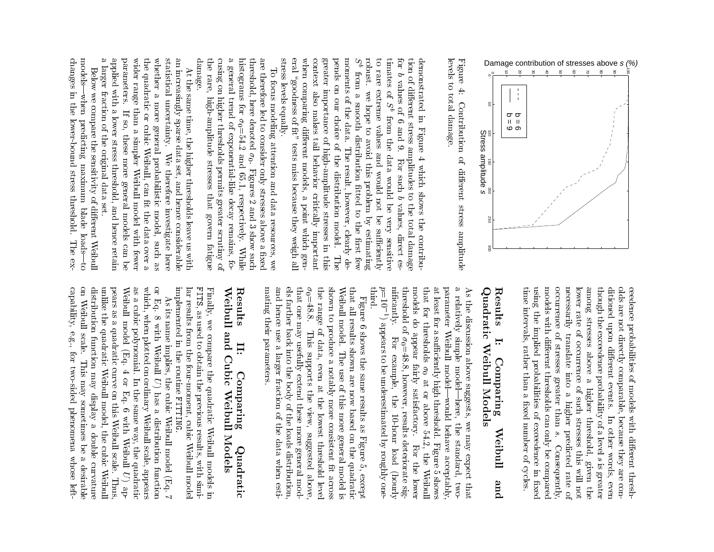

levels to total damage. levels to total damage.Figure 4: Contribution of different stress amplitude Figure 4:Contribution of dierent stressamplitude and a model of the contract of the contract of the contract of the contract of the contract of the contract of the contract of the contract of the contract of the contract of the contract of the contract of the c

stress levels equally. lla rigiow volt est in siste miss because they weigh all pends on our choice of the distribution model. moments of the data. The result, however, clearly detimates of  $S^b$ when comparing different models, a point which gencontext also makes tail behavior critically important greater importance of high-amplitude stresses in this robust. we hope to avoid this problem by estimating to rare extreme values and would not be sufficiently for  $b$  values of  $6$  and  $9$ . stress levels equally.eral \goodness of t" tests miss because they weigh all...<br>When context)<br>Geboortes pendsmoments of the data.با robust.totimatesfortion of different stress amplitudes to the total damage tion of dierent stress amplitudes to the total damagedemonstrated in Figure 4 which shows the contribudemonstrated rarefrome<br>S values comparing dierent on importanceContractors of the second alsowe hope the contract of the contract of the contract of the contract of the contract of the contract of the contract of the contract of the contract of the contract of the contract of the contract of the contract of the co ofs<br>smooth<br>smooth our of makesfrom the data would be very sensitive choicefrom in 6 values $\mathcal{O}(\mathcal{O}_\mathcal{A})$ and and and a Figures 2010 distribution control oftaileen kuning the data of 9. For The result, however, clearly de high-amplitude and behavior theFor such b values, direct es- 4models, contracts, and i<br>Which property is distributionwould be considered. such...<br>Would problem by estimatingtted over 2012 showscritical contracts s<br>S bvalues, notpoint which which we have a set of the contract of the contract of the contract of the contract of the contract of the contract of the contract of the contract of the contract of the contract of the contract of the contrac e<br>Separa to the contract of the contract of the contract of the contract of the contract of the contract of the contract of the contract of the contract of the contract of the contract of the contract of the contract of the contrac stresses be very the model.the control suciently importantdirection of the control contribu- rst sensitive in $\rm The$  gen- The thisf<br>: es-

damage. cusing on higher thresholds permits greater scrutiny of a general trend of exponential-like decay remains, fothe rare, high-amplitude stresses that govern fatigue histograms for  $\sigma_0 = 54.2$  and 65.1, respectively. While threshold, here denoted  $\sigma_0$ . Figures 2 and 3 show such are therefore led to consider only stresses above a fixed damage.thecusing on higher thresholds permits greater scruting permits greater scruting and containing of the containing of the containing of the containing of the containing of the containing of the containing of the containing of a general trend trend trend trend trend trend trend trend trend trend trend trend trend trend trend trend trend<br>The contract of the contract of the contract of the contract of the contract of the contract of the contract o histograms forthreshold, here denotedare therefore led to consider only stresses above a xedTo focus modeling attention and data resources, we To focus modeling attention and data resources, we rare, high-amplitude0<br>-<br>.<br>. of exponential-like decay remains, 0. Figures 2 and 3 show such stressesthat complete respectively. governfatigues<br>fatigues<br>f .<br>While fo-

statistical uncertainty. We therefore investigate here an increasingly sparse data set, and hence considerable a larger fraction of the original data set. applied with a lower stress threshold, and hence retain parameters. wider range than a simpler Weibull model with fewer whether a more general probabilistic model, such as<br>the quadratic or cubic Weibull, can fit the data over a a larger fraction of the original data set.applied with a lower stress threshold, and hence retainparameters.wider range than a simpler Weibull model with fewerthe quadratic or cubic Weibull, can t the data over awhether the contract of the contract of the contract of the contract of the contract of the contract of the contract of the contract of the contract of the contract of the contract of the contract of the contract of the co statisticalan increasingly sparse data set, and hence considerableAt the same time, the higher thresholds leave us with At the same time, the higher thresholds leave us withs<br>: uncertainty. moreIf so, these more general models can be If so, general these.<br>< more probabilistic therefore general investigate model,models (Second) suchcan can controlled a heree<br>C as

modelschanges in the lower-bound stress threshold. The exchanges in the changes in the changes in the changes in the changes in the changes in the changes in the changes of the changes in the changes of the changes of the changes of the changes of the changes of the changes of t models|whenBelow we compare the sensitivity of different Weibull Below we compare the sensitivity of dierent Weibull-when predicting maximum blade loads--to lower-bound stress threshold. predicting maximumde de de de de la poste de la poste de la poste de la poste de la poste de la poste de la poste de la poste de<br>Desembleces de la poste de la poste de la poste de la poste de la poste de la poste de la poste de la poste de loads|to Theex-

> models with different thresholds can only be compared olds are not directly comparable, because they are conditioned upon different events. In other words, even time intervals, rather than a fixed number of cycles. using the implied probabilities of exceedence in fixed occurrence of stresses greater than  $s$ . necessarily translate into a higher predicted rate of lower rate of occurrence of such stresses this will not among stresses above a higher threshold, given the though the exceedence probability of a level s is greater ceedence probabilities of models with different threshtime intervals, rather than a xed number of cycles. The contract of cycles is a cycle of cycles. The contract of cycles. The cycles of cycles is a cycle of cycles of cycles is a cycle of cycles. The cycles is a cycle of cy usingmodels with different thresholds can only be compared models with different thresholds can only be compared occurrence in the contract of the contract of the contract of the contract of the contract of the contract of the contract of the contract of the contract of the contract of the contract of the contract of the contract of necessarilylower rate of the control of the control of the control of the control of the control of the control of the control of the control of the control of the control of the control of the control of the control of the control o amongthough the exceedence probability of a levelditioned a control of the control of the control of the control of the control of the control of the control of the control of the control of the control of the control of the control of the control of the control of the c olds are not directly comparable, because they are conceedence probabilities of models with dierent threshthe contract of the contract of the contract of the contract of the contract of the contract of the contract of the contract of the contract of the contract of the contract of the contract of the contract of the contract o stressesupon implied oftranslate over 2002 occurrence of stressesdie entwerte von die entwerking above probabilities intogreater is a controller of the controller of the controller of the controller of the controller of the controller of the controller of the controller of the controller of the controller of the controller of the controller e<br>District events. highers<br>and in the later such higherthan the control of the control of the control of the control of the control of the control of the control of the control of the control of the control of the control of the control of the control of the control of the con of In stresses this threshold, exceedence others. Consequently, Consequently, Consequently, Consequently, Consequently, Consequently, Consequently, Consequently, predicted $\rm Consequently,$  words,:<br>: y<br>i is greateri<br>William<br>William inr<br>Second xed even notthe contract of the contract of the contract of the contract of the contract of the contract of the contract of the contract of the contract of the contract of the contract of the contract of the contract of the contract o of

# Results Quadratic Weibull Models QuadraticResults I:weibullet in the control of the control of the control of the control of the control of the control of the control of the control of the control of the control of the control of the control of the control of the control of Comparing Comparing ModelsWeibull .<br>Weibullet pue and

third. nificantly. threshold of  $\sigma_0 = 48.8$ , however, results deteriorate sigmodels do appear fairly satisfactory. that for thresholds  $\sigma_0$  at or above 54.2, the Weibull at least for a sufficiently high threshold. parameter Weibull model-would behave acceptably, a relatively simple model-As the discussion above suggests, we may expect that the contract of the contract of the contract of the contract of the contract of the contract of the contract of the contract of the contract of the contract of the contract of the contract of the contract of the contract o p=10 ni cantly in the case of the case of the case of the case of the case of the case of the case of the case of the case of the case of the case of the case of the case of the case of the case of the case of the case of the c threshold ofmodelsthatat least for a sufficiently high threshold. Figure 5 shows parameteraAs the discussion above suggests, we may expect that relatively for) appears to be underestimated by roughly one do thresholdsFor example, the 10-hour load (hourly .<br>Weibulle appear For $\ddot{c}$  simple example, fairly model|would $\ddot{\phantom{0}}$  model|here, at satisfactory. or $\lnot$ lere, the above1<br>-<br>1 the standard, two the behave 54.2,For the lower Figure 5 shows standard, Forload in the control of the control of the control of the control of the control of the control of the control of the control of the control of the control of the control of the control of the control of the control of the theacceptable, and acceptable, and acceptable, and acceptable, and acceptable, and acceptable, and acceptable, and acceptable, and acceptable, and acceptable, and acceptable, and acceptable, and acceptable, and acceptable, an the control Weibulle<br>Weibulle (iii) 2011<br>(iii) 2012<br>(iii) 2012<br>(iii) 2012<br>(iii) 2012<br>(iii) 2012<br>(iii) 2012<br>(iii) 2012<br>(iii) 2013<br>(iii) 2013<br>(iii) 2013<br>(iii) 2013<br>(iii) 2013<br>(iii) 2013<br>(iii) 2013<br>(iii) 2013<br>(iii) 2013<br>(iii) 2013<br>(iii) 2013<br>(iii) 2013<br>(i lowertwo-

and hence use a larger fraction of the data when estimating their parameters. <br>  $% \begin{array}{l} \begin{array}{l} \begin{array}{l} \begin{array}{l} \begin{array}{l} \begin{array}{l} \end{array} \\ \begin{array}{l} \end{array} \\ \begin{array}{l} \end{array} \\ \begin{array}{l} \end{array} \\ \begin{array}{l} \end{array} \\ \begin{array}{l} \end{array} \\ \begin{array}{l} \end{array} \\ \begin{array}{l} \end{array} \\$ that one may usefully extend these more general models farther back into the body of the loads distribution,  $\sigma_0 = 48.8$ . This supports the view, suggested above, the range of data, even at the lowest threshold level shown to produce a notably more consistent fit across Weibull model. The use of this more general model is that all results shown are now based on the quadratic mating their parameters.and hence use a larger fraction of the data when estiels farther back into the body of the loads distribution,that one may usefully extend these more general mod- $\sigma_{0}=48.8$ . This supports the view, suggested above, theshown to produce a notably more consistent t acrossWeibull model.<br>Bull model.<br>Bull model. that all results shown are now based on the quadraticFigure 6 shows the same results as Figure 5, except Figure 6 shows the same results as Figure 5, except range of data, The use of this more general model is even at the lowest thresholdl<br>i

# Weibull and Cubic Weibull Models Weibuller<br>Weibuller Results Results and $\mathbf{H}$ : |<br>|<br>| Cubic<br>Cubic<br>Cubic Comparing ComparingWeibuller<br>Weibuller ModelsQuadratic Quadratic

implemented in the routine FITTING. FITS, as used to obtain the previous results, with simi-Finally, we compare the quadratic Weibull models in implemented in the routinelar results from the four-moment, cubic Weibull model lar results from the four-moment, cubic Weibull modelFITS, as used to obtain the previous results, with simi-Finally, we compare the quadratic FITTING.**Weibull**  modelsin

capability, e.g., for two-sided phenomena whose lefton Weibull scale. This may sometimes be a desirable distribution function may display a double curvature unlike the quadratic Weibull model, the cubic Weibul pears as a quadratic curve on this Weibull scale. Thus, as a cubic polynomial. In the same way, the quadratic which, when plotted on ordinary Weibull scale, appears or Eq. 8 with Weibull  $U$ ) has a distribution function capability,on Weibulldistributionunlike the quadratic Weibull model, the cubic Weibullpears as a quadratic curve on this Weibull scale.Weibull model (Eq. 4 or Eq. 6 with Weibull  $U$ ) ap-**Weibull** as a cubic polynomial.which, when plotted on ordinary Weibull scale, appearsorAs its name implies, the cubic Weibull model (Eq. As its name implies, the cubic Weibull model (Eq. 7 Eq. 8 modelwith the company of the company of the company of the company of the company of the company of the company of the company of the company of the company of the company of the company of the company of the company of the com e.g., scale.function of the complete The Secret Secret Secret Secret Secret Secret Secret Secret Secret Secret Secret Secret Secret Secret Secret Secret Secret Secret Secret Secret Secret Secret Secret Secret Secret Secret Secret Secret Secret Secret Secret S  $\overline{\phantom{a}}$  for This may sometimes be a desirable two-sidedا<br>ج may or In the same way, the quadratic $\ddot{\phantom{0}}$  Eq.displays the control of the control of the control of the control of the control of the control of the control of the control of the control of the control of the control of the control of the control of the control of the has phenomena 6s<br>S ..<br>With distributions<br>and security doubleMendel Strawberg .<br>Whose c cure curvature co function of the complete  $\ddot{\phantom{0}}$  Thus, lefta<br>C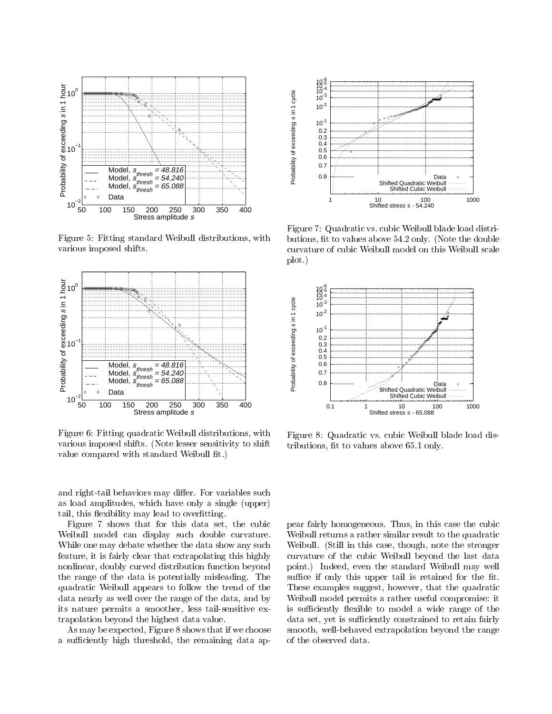

Figure 5: Fitting standard Weibull distributions, with various imposed shifts.



Figure 6: Fitting quadratic Weibull distributions, with various imposed shifts. (Note lesser sensitivity to shift value compared with standard Weibull fit.)

and right-tail behaviors may differ. For variables such as load amplitudes, which have only a single (upper) tail, this flexibility may lead to overfitting.

Figure 7 shows that for this data set, the cubic Weibull model can display such double curvature. While one may debate whether the data show any such feature, it is fairly clear that extrapolating this highly nonlinear, doubly curved distribution function beyond the range of the data is potentially misleading. The quadratic Weibull appears to follow the trend of the data nearly as well over the range of the data, and by its nature permits a smoother, less tail-sensitive extrapolation beyond the highest data value.

As may be expected, Figure 8 shows that if we choose a sufficiently high threshold, the remaining data ap-



Figure 7: Quadratic vs. cubic Weibull blade load distributions, fit to values above 54.2 only. (Note the double curvature of cubic Weibull model on this Weibull scale plot.)



Figure 8: Quadratic vs. cubic Weibull blade load distributions, fit to values above 65.1 only.

pear fairly homogeneous. Thus, in this case the cubic Weibull returns a rather similar result to the quadratic Weibull. (Still in this case, though, note the stronger curvature of the cubic Weibull beyond the last data point.) Indeed, even the standard Weibull may well suffice if only this upper tail is retained for the fit. These examples suggest, however, that the quadratic Weibull model permits a rather useful compromise: it is sufficiently flexible to model a wide range of the data set, yet is sufficiently constrained to retain fairly smooth, well-behaved extrapolation beyond the range of the observed data.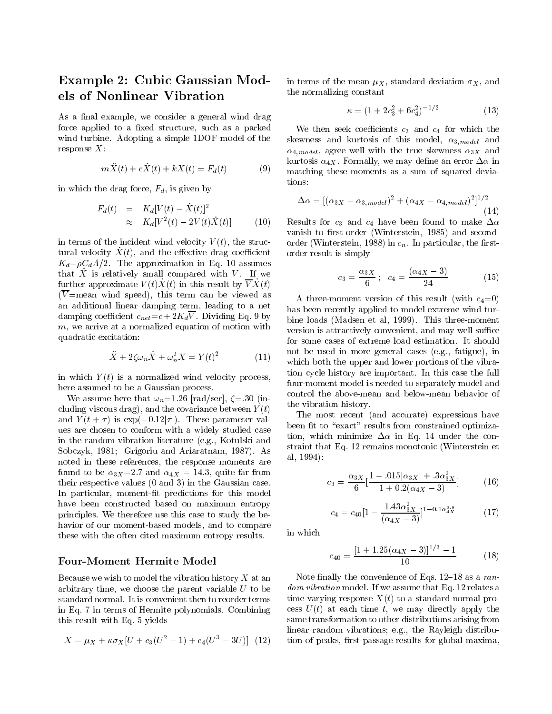# Example 2: Cubic Gaussian Models of Nonlinear Vibration

As a final example, we consider a general wind drag force applied to a fixed structure, such as a parked wind turbine. Adopting a simple 1DOF model of the

$$
m\ddot{X}(t) + c\dot{X}(t) + kX(t) = F_d(t) \tag{9}
$$

in which the drag force,  $F_d$ , is given by

$$
F_d(t) = K_d[V(t) - \dot{X}(t)]^2
$$
  
\n
$$
\approx K_d[V^2(t) - 2V(t)\dot{X}(t)] \qquad (10)
$$
 Re

in terms of the incident wind velocity  $V(t)$ , the structural velocity  $X(t)$ , and the effective drag coefficient  $K_d = \rho C_d A/2$ . The approximation in Eq. 10 assumes  $\frac{1}{2}$  is relatively small compared with  $V$ . If we further approximate  $V(t)X(t)$  in this result by  $\overline{V}X(t)$  $(V=$ mean wind speed), this term can be viewed as an additional linear damping term, leading to a net damping coefficient  $c_{net}=c+2K_d\overline{V}$ . Dividing Eq. 9 by  $m$ , we arrive at a normalized equation of motion with quadratic excitation:

$$
\ddot{X} + 2\zeta\omega_n \dot{X} + \omega_n^2 X = Y(t)^2 \tag{11}
$$

in which  $Y(t)$  is a normalized wind velocity process, here assumed to be a Gaussian process.

We assume here that  $\omega_n=1.26$  [rad/sec],  $\zeta=30$  (including viscous drag), and the covariance between  $Y(t)$ and  $Y(t + \tau)$  is  $\exp(-0.12|\tau|)$ . These parameter values are chosen to conform with a widely studied case in the random vibration literature (e.g., Kotulski and Sobczyk, 1981; Grigoriu and Ariaratnam, 1987). As noted in these references, the response moments are found to be  $\alpha_{3X}=2.7$  and  $\alpha_{4X}=14.3$ , quite far from their respective values (0 and 3) in the Gaussian case. In particular, moment-fit predictions for this model have been constructed based on maximum entropy principles. We therefore use this case to study the behavior of our moment-based models, and to compare these with the often cited maximum entropy results.

#### Four-Moment Hermite Model

Because we wish to model the vibration history  $X$  at an arbitrary time, we choose the parent variable  $U$  to be standard normal. It is convenient then to reorder terms in Eq. 7 in terms of Hermite polynomials. Combining this result with Eq. 5 yields

$$
X = \mu_X + \kappa \sigma_X [U + c_3 (U^2 - 1) + c_4 (U^3 - 3U)] \tag{12}
$$
tic

in terms of the mean  $\mu_X$ , standard deviation  $\sigma_X$ , and the normalizing constant

$$
\kappa = (1 + 2c_3^2 + 6c_4^2)^{-1/2} \tag{13}
$$

We then seek coefficients  $c_3$  and  $c_4$  for which the skewness and kurtosis of this model,  $\alpha_{3, model}$  and  $\alpha_{4, model}$ , agree well with the true skewness  $\alpha_{3X}$  and kurtosis  $\alpha_{4X}$ . Formally, we may define an error  $\Delta \alpha$  in matching these moments as a sum of squared deviations:

$$
\Delta \alpha = [(\alpha_{3X} - \alpha_{3,model})^2 + (\alpha_{4X} - \alpha_{4,model})^2]^{1/2}
$$
\n(14)

Results for  $c_3$  and  $c_4$  have been found to make  $\Delta \alpha$ vanish to first-order (Winterstein, 1985) and secondorder (Winterstein, 1988) in  $c_n$ . In particular, the firstorder result is simply

$$
c_3 = \frac{\alpha_{3X}}{6}; \quad c_4 = \frac{(\alpha_{4X} - 3)}{24} \tag{15}
$$

 $\sim$  1111, which both the upper and lower portions of the vibra-A three-moment version of this result (with  $c_4=0$ ) has been recently applied to model extreme wind turbine loads (Madsen et al, 1999). This three-moment version is attractively convenient, and may well suffice for some cases of extreme load estimation. It should not be used in more general cases (e.g., fatigue), in tion cycle history are important. In this case the full four-moment model is needed to separately model and control the above-mean and below-mean behavior of the vibration history.

> The most recent (and accurate) expressions have been fit to "exact" results from constrained optimization, which minimize  $\Delta \alpha$  in Eq. 14 under the constraint that Eq. 12 remains monotonic (Winterstein et al, 1994):

$$
c_3 = \frac{\alpha_{3X}}{6} \left[ \frac{1 - .015|\alpha_{3X}| + .3\alpha_{3X}^2}{1 + 0.2(\alpha_{4X} - 3)} \right] \tag{16}
$$

$$
c_4 = c_{40} \left[ 1 - \frac{1.43 \alpha_{3X}^2}{(\alpha_{4X} - 3)} \right]^{1 - 0.1 \alpha_{4X}^{0.8}}
$$
(17)

in which

$$
c_{40} = \frac{[1+1.25(\alpha_{4X}-3)]^{1/3}-1}{10} \tag{18}
$$

Note finally the convenience of Eqs.  $12-18$  as a random vibration model. If we assume that Eq. 12 relates a time-varying response  $X(t)$  to a standard normal process  $U(t)$  at each time t, we may directly apply the same transformation to other distributions arising from linear random vibrations; e.g., the Rayleigh distribution of peaks, first-passage results for global maxima,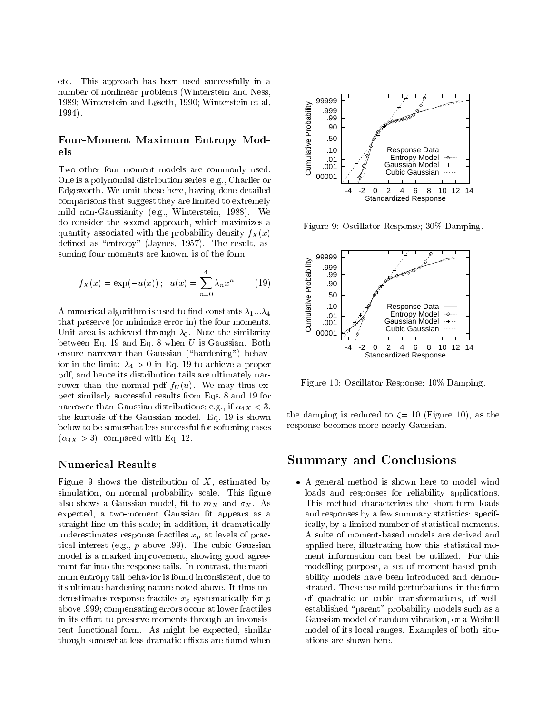etc. This approach has been used successfully in a number of nonlinear problems (Winterstein and Ness, 1989; Winterstein and Løseth, 1990; Winterstein et al, 1994).

#### Four-Moment Maximum Entropy Models

Two other four-moment models are commonly used. One is a polynomial distribution series; e.g., Charlier or Edgeworth. We omit these here, having done detailed comparisons that suggest they are limited to extremely mild non-Gaussianity (e.g., Winterstein, 1988). We do consider the second approach, which maximizes a quantity associated with the probability density  $f_X(x)$ defined as "entropy" (Jaynes, 1957). The result, assuming four moments are known, is of the form

$$
f_X(x) = \exp(-u(x)); \quad u(x) = \sum_{n=0}^{4} \lambda_n x^n \tag{19}
$$

A numerical algorithm is used to find constants  $\lambda_1...\lambda_4$ that preserve (or minimize error in) the four moments. Unit area is achieved through  $\lambda_0$ . Note the similarity between Eq. 19 and Eq. 8 when  $U$  is Gaussian. Both ensure narrower-than-Gaussian ("hardening") behavior in the limit:  $\lambda_4 > 0$  in Eq. 19 to achieve a proper pdf, and hence its distribution tails are ultimately narrower than the normal pdf  $f_U(u)$ . We may thus expect similarly successful results from Eqs. 8 and 19 for narrower-than-Gaussian distributions; e.g., if  $\alpha_{4X} < 3$ , the kurtosis of the Gaussian model. Eq. 19 is shown below to be somewhat less successful for softening cases  $(\alpha_{4X} > 3)$ , compared with Eq. 12.

#### Numerical Results

Figure 9 shows the distribution of  $X$ , estimated by simulation, on normal probability scale. This figure also shows a Gaussian model, fit to  $m<sub>X</sub>$  and  $\sigma<sub>X</sub>$ . As expected, a two-moment Gaussian fit appears as a straight line on this scale; in addition, it dramatically underestimates response fractiles  $x_p$  at levels of practical interest (e.g., p above .99). The cubic Gaussian model is a marked improvement, showing good agreement far into the response tails. In contrast, the maxi mum entropy tail behavior is found inconsistent, due to its ultimate hardening nature noted above. It thus underestimates response fractiles  $x_p$  systematically for p above .999; compensating errors occur at lower fractiles in its effort to preserve moments through an inconsistent functional form. As might be expected, similar though somewhat less dramatic effects are found when



Figure 9: Oscillator Response; 30% Damping.



Figure 10: Oscillator Response; 10% Damping.

the damping is reduced to  $\zeta = 10$  (Figure 10), as the response becomes more nearly Gaussian.

## Summary and Conclusions

 A general method is shown here to model wind loads and responses for reliability applications. This method characterizes the short-term loads and responses by a few summary statistics: specifically, by a limited number of statistical moments. A suite of moment-based models are derived and applied here, illustrating how this statistical moment information can best be utilized. For this modelling purpose, a set of moment-based probability models have been introduced and demonstrated. These use mild perturbations, in the form of quadratic or cubic transformations, of wellestablished "parent" probability models such as a Gaussian model of random vibration, or a Weibull model of its local ranges. Examples of both situations are shown here.